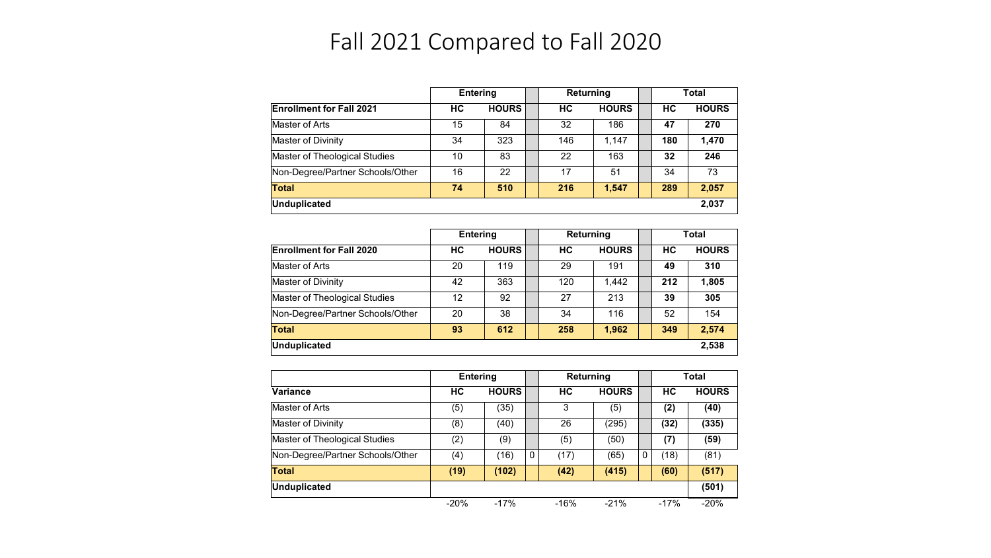## Fall 2021 Compared to Fall 2020

|                                  | <b>Entering</b> |              | Returning |              |  | Total |              |
|----------------------------------|-----------------|--------------|-----------|--------------|--|-------|--------------|
| <b>Enrollment for Fall 2021</b>  | НC              | <b>HOURS</b> | HC.       | <b>HOURS</b> |  | НC    | <b>HOURS</b> |
| Master of Arts                   | 15              | 84           | 32        | 186          |  | 47    | 270          |
| Master of Divinity               | 34              | 323          | 146       | 1.147        |  | 180   | 1.470        |
| Master of Theological Studies    | 10              | 83           | 22        | 163          |  | 32    | 246          |
| Non-Degree/Partner Schools/Other | 16              | 22           | 17        | 51           |  | 34    | 73           |
| Total                            | 74              | 510          | 216       | 1.547        |  | 289   | 2.057        |
| Unduplicated                     |                 |              |           |              |  |       | 2,037        |

|                                  | <b>Entering</b> |              | Returning |              | <b>Total</b> |              |
|----------------------------------|-----------------|--------------|-----------|--------------|--------------|--------------|
| <b>Enrollment for Fall 2020</b>  | НC              | <b>HOURS</b> | НC        | <b>HOURS</b> | НC           | <b>HOURS</b> |
| Master of Arts                   | 20              | 119          | 29        | 191          | 49           | 310          |
| Master of Divinity               | 42              | 363          | 120       | 1.442        | 212          | 1,805        |
| Master of Theological Studies    | 12              | 92           | 27        | 213          | 39           | 305          |
| Non-Degree/Partner Schools/Other | 20              | 38           | 34        | 116          | 52           | 154          |
| <b>Total</b>                     | 93              | 612          | 258       | 1.962        | 349          | 2.574        |
| Unduplicated                     |                 |              |           |              |              | 2,538        |

|                                  | <b>Entering</b> |              |   | <b>Returning</b> |              |   | <b>Total</b> |              |
|----------------------------------|-----------------|--------------|---|------------------|--------------|---|--------------|--------------|
| <b>Variance</b>                  | НC              | <b>HOURS</b> |   | НC               | <b>HOURS</b> |   | НC           | <b>HOURS</b> |
| Master of Arts                   | (5)             | (35)         |   | 3                | (5)          |   | (2)          | (40)         |
| Master of Divinity               | (8)             | (40)         |   | 26               | (295)        |   | (32)         | (335)        |
| Master of Theological Studies    | (2)             | (9)          |   | (5)              | (50)         |   | (7)          | (59)         |
| Non-Degree/Partner Schools/Other | (4)             | (16)         | 0 | (17)             | (65)         | 0 | (18)         | (81)         |
| Total                            | (19)            | (102)        |   | (42)             | (415)        |   | (60)         | (517)        |
| Unduplicated                     |                 |              |   |                  |              |   |              | (501)        |
|                                  | $-20%$          | $-17%$       |   | $-16%$           | $-21%$       |   | $-17%$       | $-20%$       |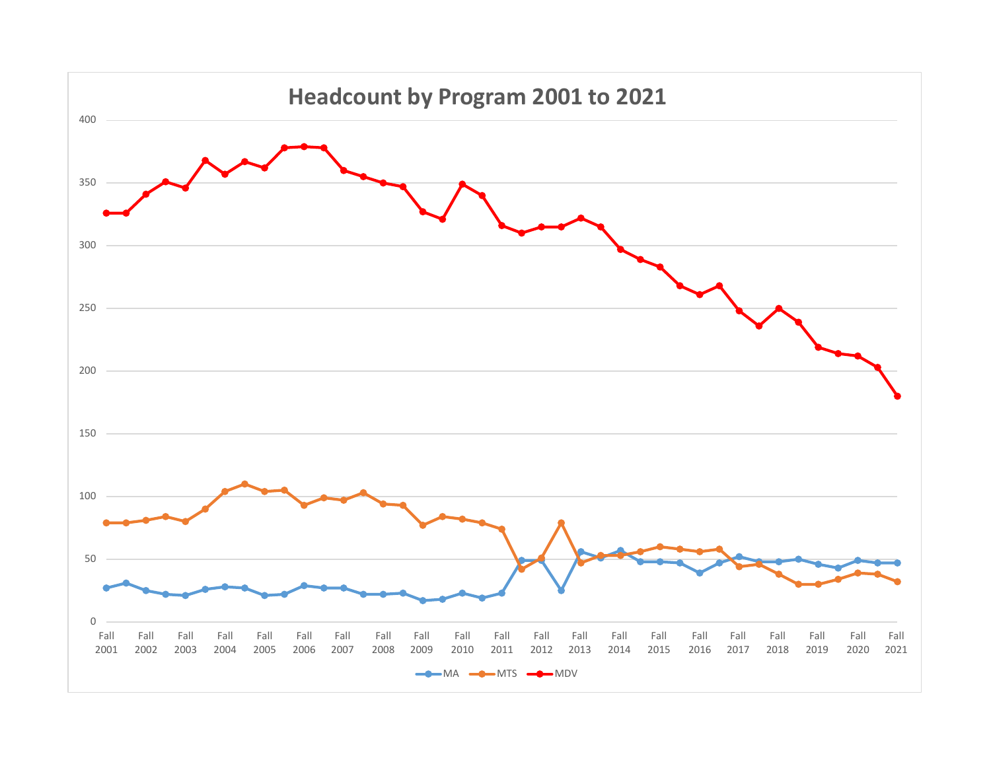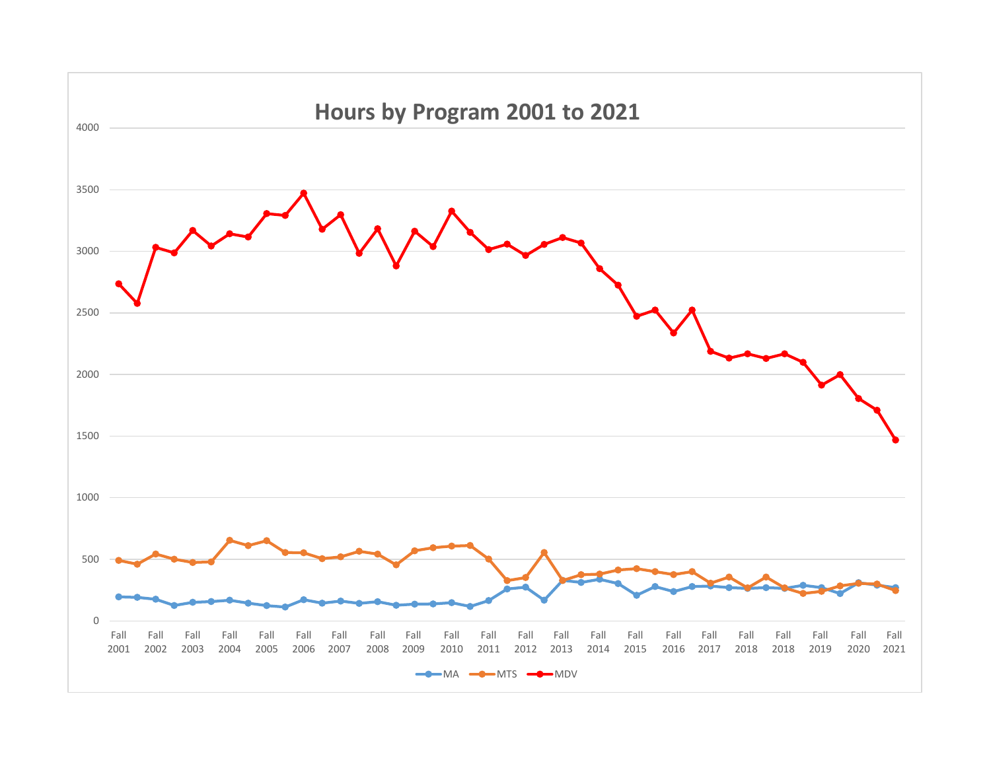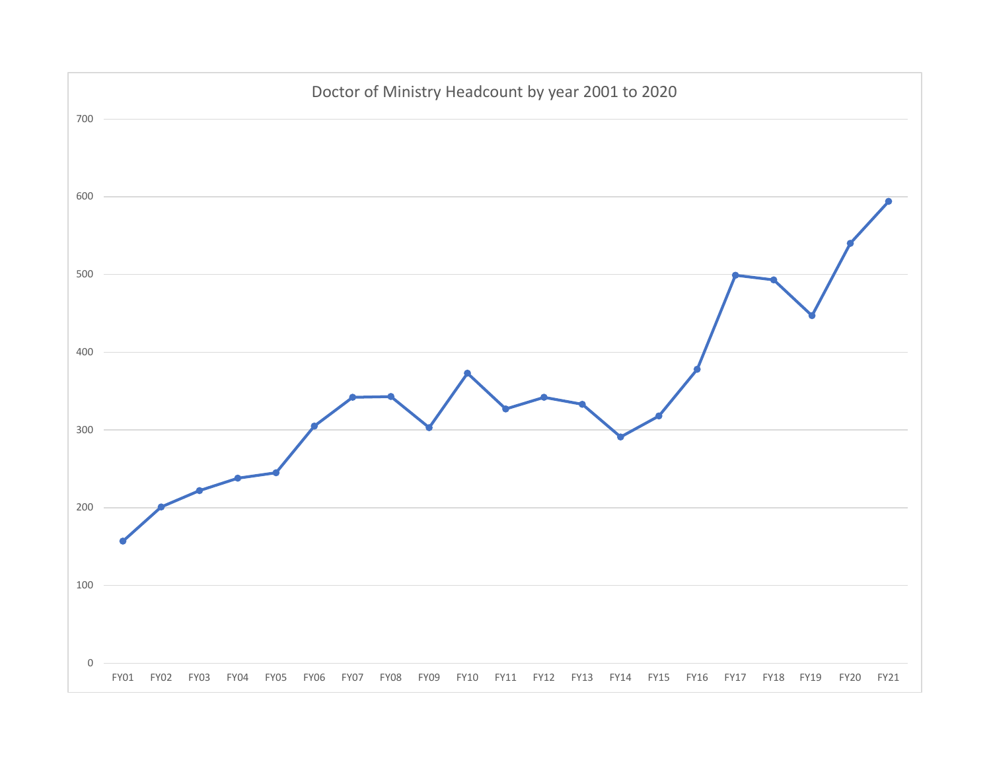